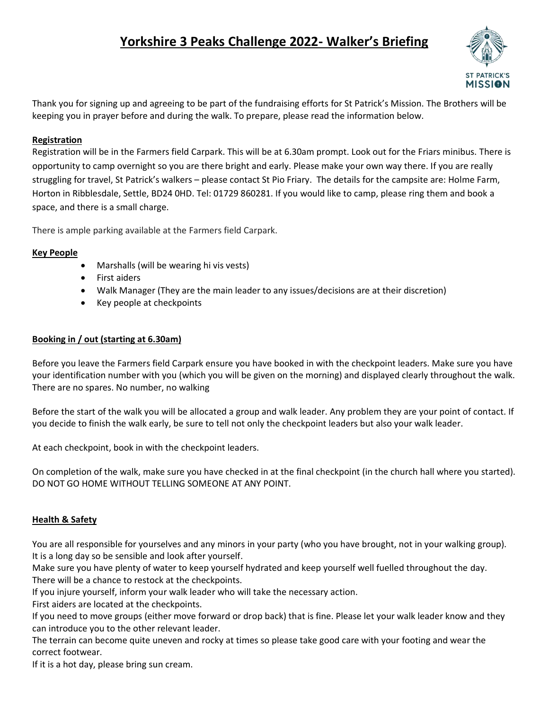# **Yorkshire 3 Peaks Challenge 2022- Walker's Briefing**



Thank you for signing up and agreeing to be part of the fundraising efforts for St Patrick's Mission. The Brothers will be keeping you in prayer before and during the walk. To prepare, please read the information below.

## **Registration**

Registration will be in the Farmers field Carpark. This will be at 6.30am prompt. Look out for the Friars minibus. There is opportunity to camp overnight so you are there bright and early. Please make your own way there. If you are really struggling for travel, St Patrick's walkers – please contact St Pio Friary. The details for the campsite are: Holme Farm, Horton in Ribblesdale, Settle, BD24 0HD. Tel: 01729 860281. If you would like to camp, please ring them and book a space, and there is a small charge.

There is ample parking available at the Farmers field Carpark.

#### **Key People**

- Marshalls (will be wearing hi vis vests)
- First aiders
- Walk Manager (They are the main leader to any issues/decisions are at their discretion)
- Key people at checkpoints

## **Booking in / out (starting at 6.30am)**

Before you leave the Farmers field Carpark ensure you have booked in with the checkpoint leaders. Make sure you have your identification number with you (which you will be given on the morning) and displayed clearly throughout the walk. There are no spares. No number, no walking

Before the start of the walk you will be allocated a group and walk leader. Any problem they are your point of contact. If you decide to finish the walk early, be sure to tell not only the checkpoint leaders but also your walk leader.

At each checkpoint, book in with the checkpoint leaders.

On completion of the walk, make sure you have checked in at the final checkpoint (in the church hall where you started). DO NOT GO HOME WITHOUT TELLING SOMEONE AT ANY POINT.

#### **Health & Safety**

You are all responsible for yourselves and any minors in your party (who you have brought, not in your walking group). It is a long day so be sensible and look after yourself.

Make sure you have plenty of water to keep yourself hydrated and keep yourself well fuelled throughout the day. There will be a chance to restock at the checkpoints.

If you injure yourself, inform your walk leader who will take the necessary action.

First aiders are located at the checkpoints.

If you need to move groups (either move forward or drop back) that is fine. Please let your walk leader know and they can introduce you to the other relevant leader.

The terrain can become quite uneven and rocky at times so please take good care with your footing and wear the correct footwear.

If it is a hot day, please bring sun cream.